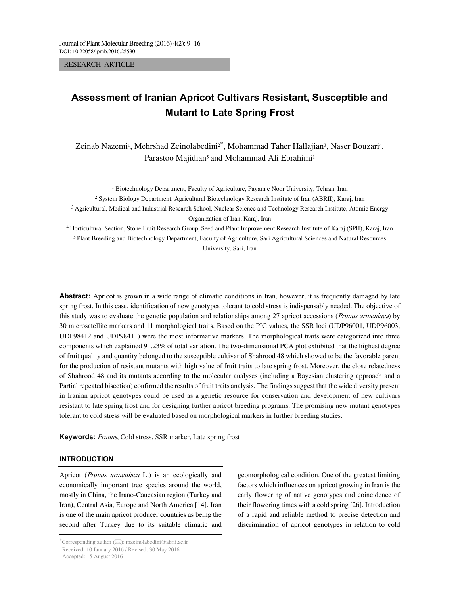RESEARCH ARTICLE

# **Assessment of Iranian Apricot Cultivars Resistant, Susceptible and Mutant to Late Spring Frost**

Zeinab Nazemi<sup>1</sup>, Mehrshad Zeinolabedini<sup>2\*</sup>, Mohammad Taher Hallajian<sup>3</sup>, Naser Bouzari<sup>4</sup>, Parastoo Majidian<sup>5</sup> and Mohammad Ali Ebrahimi<sup>1</sup>

<sup>1</sup> Biotechnology Department, Faculty of Agriculture, Payam e Noor University, Tehran, Iran 2 System Biology Department, Agricultural Biotechnology Research Institute of Iran (ABRII), Karaj, Iran 3 Agricultural, Medical and Industrial Research School, Nuclear Science and Technology Research Institute, Atomic Energy Organization of Iran, Karaj, Iran 4 Horticultural Section, Stone Fruit Research Group, Seed and Plant Improvement Research Institute of Karaj (SPII), Karaj, Iran 5 Plant Breeding and Biotechnology Department, Faculty of Agriculture, Sari Agricultural Sciences and Natural Resources

University, Sari, Iran

**Abstract:** Apricot is grown in a wide range of climatic conditions in Iran, however, it is frequently damaged by late spring frost. In this case, identification of new genotypes tolerant to cold stress is indispensably needed. The objective of this study was to evaluate the genetic population and relationships among 27 apricot accessions (Prunus armeniaca) by 30 microsatellite markers and 11 morphological traits. Based on the PIC values, the SSR loci (UDP96001, UDP96003, UDP98412 and UDP98411) were the most informative markers. The morphological traits were categorized into three components which explained 91.23% of total variation. The two-dimensional PCA plot exhibited that the highest degree of fruit quality and quantity belonged to the susceptible cultivar of Shahrood 48 which showed to be the favorable parent for the production of resistant mutants with high value of fruit traits to late spring frost. Moreover, the close relatedness of Shahrood 48 and its mutants according to the molecular analyses (including a Bayesian clustering approach and a Partial repeated bisection) confirmed the results of fruit traits analysis. The findings suggest that the wide diversity present in Iranian apricot genotypes could be used as a genetic resource for conservation and development of new cultivars resistant to late spring frost and for designing further apricot breeding programs. The promising new mutant genotypes tolerant to cold stress will be evaluated based on morphological markers in further breeding studies.

Keywords: Prunus, Cold stress, SSR marker, Late spring frost

# **INTRODUCTION**

Apricot (Prunus armeniaca L.) is an ecologically and economically important tree species around the world, mostly in China, the Irano-Caucasian region (Turkey and Iran), Central Asia, Europe and North America [14]. Iran is one of the main apricot producer countries as being the second after Turkey due to its suitable climatic and

 $--\frac{1}{2}$  ,  $--\frac{1}{2}$  ,  $--\frac{1}{2}$  ,  $--\frac{1}{2}$  ,  $--\frac{1}{2}$  ,  $--\frac{1}{2}$  ,  $--\frac{1}{2}$  ,  $--\frac{1}{2}$  ,  $--\frac{1}{2}$  ,  $--\frac{1}{2}$  ,  $--\frac{1}{2}$  ,  $--\frac{1}{2}$  ,  $--\frac{1}{2}$  ,  $--\frac{1}{2}$  ,  $--\frac{1}{2}$  ,  $--\frac{1}{2}$  ,  $--\frac{1}{2}$  ,

geomorphological condition. One of the greatest limiting factors which influences on apricot growing in Iran is the early flowering of native genotypes and coincidence of their flowering times with a cold spring [26]. Introduction of a rapid and reliable method to precise detection and discrimination of apricot genotypes in relation to cold

<sup>\*</sup>Corresponding author ( $\boxtimes$ ): mzeinolabedini@abrii.ac.ir Received: 10 January 2016 / Revised: 30 May 2016

Accepted: 15 August 2016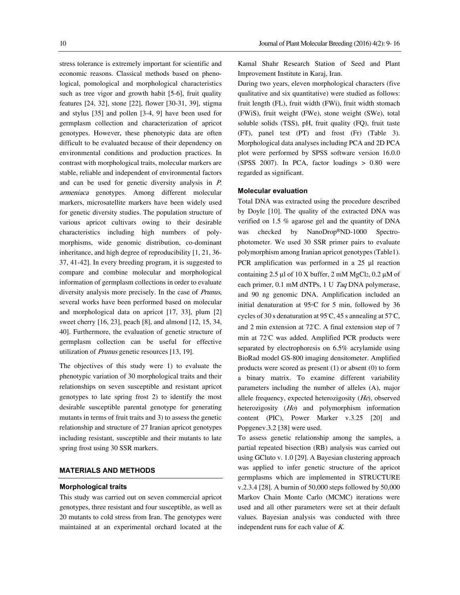stress tolerance is extremely important for scientific and economic reasons. Classical methods based on phenological, pomological and morphological characteristics such as tree vigor and growth habit [5-6], fruit quality features [24, 32], stone [22], flower [30-31, 39], stigma and stylus [35] and pollen [3-4, 9] have been used for germplasm collection and characterization of apricot genotypes. However, these phenotypic data are often difficult to be evaluated because of their dependency on environmental conditions and production practices. In contrast with morphological traits, molecular markers are stable, reliable and independent of environmental factors and can be used for genetic diversity analysis in P. armeniaca genotypes. Among different molecular markers, microsatellite markers have been widely used for genetic diversity studies. The population structure of various apricot cultivars owing to their desirable characteristics including high numbers of polymorphisms, wide genomic distribution, co-dominant inheritance, and high degree of reproducibility [1, 21, 36- 37, 41-42]. In every breeding program, it is suggested to compare and combine molecular and morphological information of germplasm collections in order to evaluate diversity analysis more precisely. In the case of Prunus, several works have been performed based on molecular and morphological data on apricot [17, 33], plum [2] sweet cherry [16, 23], peach [8], and almond [12, 15, 34, 40]. Furthermore, the evaluation of genetic structure of germplasm collection can be useful for effective utilization of Prunus genetic resources [13, 19].

The objectives of this study were 1) to evaluate the phenotypic variation of 30 morphological traits and their relationships on seven susceptible and resistant apricot genotypes to late spring frost 2) to identify the most desirable susceptible parental genotype for generating mutants in terms of fruit traits and 3) to assess the genetic relationship and structure of 27 Iranian apricot genotypes including resistant, susceptible and their mutants to late spring frost using 30 SSR markers.

### **MATERIALS AND METHODS**

#### **Morphological traits**

This study was carried out on seven commercial apricot genotypes, three resistant and four susceptible, as well as 20 mutants to cold stress from Iran. The genotypes were maintained at an experimental orchard located at the Kamal Shahr Research Station of Seed and Plant Improvement Institute in Karaj, Iran.

During two years, eleven morphological characters (five qualitative and six quantitative) were studied as follows: fruit length (FL), fruit width (FWi), fruit width stomach (FWiS), fruit weight (FWe), stone weight (SWe), total soluble solids (TSS), pH, fruit quality (FQ), fruit taste (FT), panel test (PT) and frost (Fr) (Table 3). Morphological data analyses including PCA and 2D PCA plot were performed by SPSS software version 16.0.0 (SPSS 2007). In PCA, factor loadings > 0.80 were regarded as significant.

#### **Molecular evaluation**

Total DNA was extracted using the procedure described by Doyle [10]. The quality of the extracted DNA was verified on 1.5 % agarose gel and the quantity of DNA was checked by NanoDrop®ND-1000 Spectrophotometer. We used 30 SSR primer pairs to evaluate polymorphism among Iranian apricot genotypes (Table1). PCR amplification was performed in a 25 μl reaction containing 2.5 μl of 10 X buffer, 2 mM MgCl<sub>2</sub>, 0.2 μM of each primer, 0.1 mM dNTPs, 1 U Taq DNA polymerase, and 90 ng genomic DNA. Amplification included an initial denaturation at 95◦C for 5 min, followed by 36 cycles of 30 s denaturation at 95◦ C, 45 s annealing at 57◦ C, and 2 min extension at 72℃. A final extension step of 7 min at 72℃ was added. Amplified PCR products were separated by electrophoresis on 6.5% acrylamide using BioRad model GS-800 imaging densitometer. Amplified products were scored as present (1) or absent (0) to form a binary matrix. To examine different variability parameters including the number of alleles (A), major allele frequency, expected heterozigosity (He), observed heterozigosity (Ho) and polymorphism information content (PIC), Power Marker v.3.25 [20] and Popgenev.3.2 [38] were used.

To assess genetic relationship among the samples, a partial repeated bisection (RB) analysis was carried out using GCluto v. 1.0 [29]. A Bayesian clustering approach was applied to infer genetic structure of the apricot germplasms which are implemented in STRUCTURE v.2.3.4 [28]. A burnin of 50,000 steps followed by 50,000 Markov Chain Monte Carlo (MCMC) iterations were used and all other parameters were set at their default values. Bayesian analysis was conducted with three independent runs for each value of K.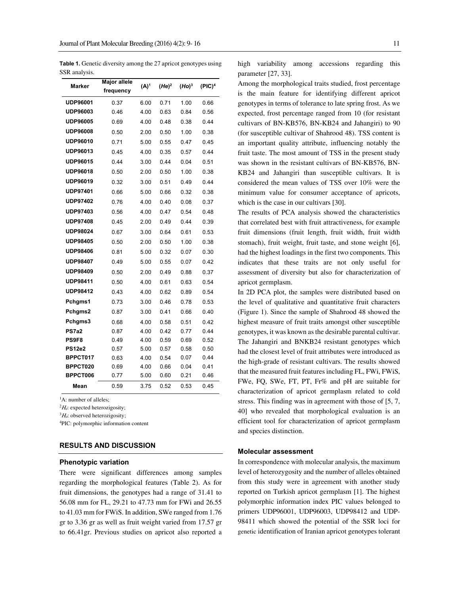**Table 1.** Genetic diversity among the 27 apricot genotypes using SSR analysis.

| Marker               | Major allele<br>frequency | $(A)^1$      | $(He)^2$     | (Ho) <sup>3</sup> | (PIC) <sup>4</sup> |
|----------------------|---------------------------|--------------|--------------|-------------------|--------------------|
| <b>UDP96001</b>      | 0.37                      | 6.00         | 0.71         | 1.00              | 0.66               |
| UDP96003             | 0.46                      | 4.00         | 0.63         | 0.84              | 0.56               |
| <b>UDP96005</b>      | 0.69                      | 4.00         | 0.48         | 0.38              | 0.44               |
| <b>UDP96008</b>      | 0.50                      | 2.00         | 0.50         | 1.00              | 0.38               |
| <b>UDP96010</b>      | 0.71                      | 5.00         | 0.55         | 0.47              | 0.45               |
| <b>UDP96013</b>      | 0.45                      | 4.00         | 0.35         | 0.57              | 0.44               |
| <b>UDP96015</b>      | 0.44                      | 3.00         | 0.44         | 0.04              | 0.51               |
| <b>UDP96018</b>      | 0.50                      | 2.00         | 0.50         | 1.00              | 0.38               |
| <b>UDP96019</b>      | 0.32                      | 3.00         | 0.51         | 0.49              | 0.44               |
| <b>UDP97401</b>      | 0.66                      | 5.00         | 0.66         | 0.32              | 0.38               |
| <b>UDP97402</b>      | 0.76                      | 4.00         | 0.40         | 0.08              | 0.37               |
| <b>UDP97403</b>      | 0.56                      | 4.00         | 0.47         | 0.54              | 0.48               |
| <b>UDP97408</b>      | 0.45                      | 2.00         | 0.49         | 0.44              | 0.39               |
| <b>UDP98024</b>      | 0.67                      | 3.00         | 0.64         | 0.61              | 0.53               |
| <b>UDP98405</b>      | 0.50                      | 2.00         | 0.50         | 1.00              | 0.38               |
| <b>UDP98406</b>      | 0.81                      | 5.00         | 0.32         | 0.07              | 0.30               |
| <b>UDP98407</b>      | 0.49                      | 5.00         | 0.55         | 0.07              | 0.42               |
| <b>UDP98409</b>      | 0.50                      | 2.00         | 0.49         | 0.88              | 0.37               |
| <b>UDP98411</b>      | 0.50                      | 4.00         | 0.61         | 0.63              | 0.54               |
| <b>UDP98412</b>      | 0.43                      | 4.00         | 0.62         | 0.89              | 0.54               |
| Pchgms1              | 0.73                      | 3.00         | 0.46         | 0.78              | 0.53               |
| Pchgms2              | 0.87                      | 3.00         | 0.41         | 0.66              | 0.40               |
| Pchgms3              | 0.68                      | 4.00         | 0.58         | 0.51              | 0.42               |
| PS7a2                | 0.87                      | 4.00         | 0.42         | 0.77              | 0.44               |
| PS9F8                | 0.49                      | 4.00         | 0.59         | 0.69              | 0.52               |
| <b>PS12e2</b>        | 0.57                      | 5.00         | 0.57         | 0.58              | 0.50               |
| BPPCT017             | 0.63                      | 4.00         | 0.54         | 0.07              | 0.44               |
| BPPCT020<br>BPPCT006 | 0.69                      | 4.00<br>5.00 | 0.66<br>0.60 | 0.04<br>0.21      | 0.41<br>0.46       |
|                      | 0.77                      |              |              |                   |                    |
| Mean                 | 0.59                      | 3.75         | 0.52         | 0.53              | 0.45               |

<sup>1</sup>A: number of alleles;

 $^{2}H_{e}$ : expected heterozigosity;

 ${}^{3}H_{o}$ : observed heterozigosity;

4PIC: polymorphic information content

# **RESULTS AND DISCUSSION**

#### **Phenotypic variation**

There were significant differences among samples regarding the morphological features (Table 2). As for fruit dimensions, the genotypes had a range of 31.41 to 56.08 mm for FL, 29.21 to 47.73 mm for FWi and 26.55 to 41.03 mm for FWiS. In addition, SWe ranged from 1.76 gr to 3.36 gr as well as fruit weight varied from 17.57 gr to 66.41gr. Previous studies on apricot also reported a high variability among accessions regarding this parameter [27, 33].

Among the morphological traits studied, frost percentage is the main feature for identifying different apricot genotypes in terms of tolerance to late spring frost. As we expected, frost percentage ranged from 10 (for resistant cultivars of BN-KB576, BN-KB24 and Jahangiri) to 90 (for susceptible cultivar of Shahrood 48). TSS content is an important quality attribute, influencing notably the fruit taste. The most amount of TSS in the present study was shown in the resistant cultivars of BN-KB576, BN-KB24 and Jahangiri than susceptible cultivars. It is considered the mean values of TSS over 10% were the minimum value for consumer acceptance of apricots, which is the case in our cultivars [30].

The results of PCA analysis showed the characteristics that correlated best with fruit attractiveness, for example fruit dimensions (fruit length, fruit width, fruit width stomach), fruit weight, fruit taste, and stone weight [6], had the highest loadings in the first two components. This indicates that these traits are not only useful for assessment of diversity but also for characterization of apricot germplasm.

In 2D PCA plot, the samples were distributed based on the level of qualitative and quantitative fruit characters (Figure 1). Since the sample of Shahrood 48 showed the highest measure of fruit traits amongst other susceptible genotypes, it was known as the desirable parental cultivar. The Jahangiri and BNKB24 resistant genotypes which had the closest level of fruit attributes were introduced as the high-grade of resistant cultivars. The results showed that the measured fruit features including FL, FWi, FWiS, FWe, FQ, SWe, FT, PT, Fr% and pH are suitable for characterization of apricot germplasm related to cold stress. This finding was in agreement with those of [5, 7, 40] who revealed that morphological evaluation is an efficient tool for characterization of apricot germplasm and species distinction.

#### **Molecular assessment**

In correspondence with molecular analysis, the maximum level of heterozygosity and the number of alleles obtained from this study were in agreement with another study reported on Turkish apricot germplasm [1]. The highest polymorphic information index PIC values belonged to primers UDP96001, UDP96003, UDP98412 and UDP-98411 which showed the potential of the SSR loci for genetic identification of Iranian apricot genotypes tolerant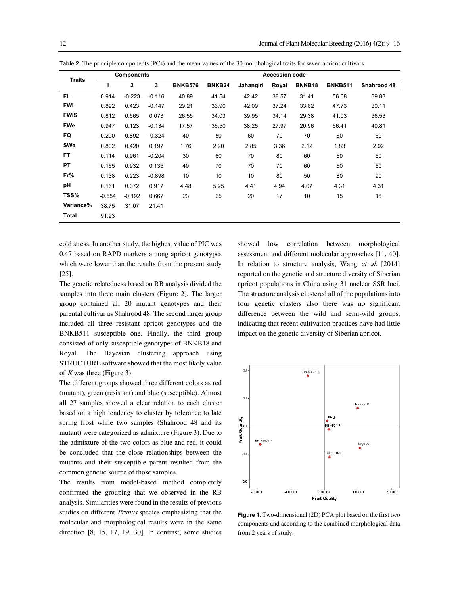| <b>Traits</b> | <b>Components</b> |              | <b>Accession code</b> |                |        |           |       |        |                |             |
|---------------|-------------------|--------------|-----------------------|----------------|--------|-----------|-------|--------|----------------|-------------|
|               | 1                 | $\mathbf{2}$ | 3                     | <b>BNKB576</b> | BNKB24 | Jahangiri | Royal | BNKB18 | <b>BNKB511</b> | Shahrood 48 |
| <b>FL</b>     | 0.914             | $-0.223$     | $-0.116$              | 40.89          | 41.54  | 42.42     | 38.57 | 31.41  | 56.08          | 39.83       |
| <b>FWi</b>    | 0.892             | 0.423        | $-0.147$              | 29.21          | 36.90  | 42.09     | 37.24 | 33.62  | 47.73          | 39.11       |
| <b>FWIS</b>   | 0.812             | 0.565        | 0.073                 | 26.55          | 34.03  | 39.95     | 34.14 | 29.38  | 41.03          | 36.53       |
| <b>FWe</b>    | 0.947             | 0.123        | $-0.134$              | 17.57          | 36.50  | 38.25     | 27.97 | 20.96  | 66.41          | 40.81       |
| FQ            | 0.200             | 0.892        | $-0.324$              | 40             | 50     | 60        | 70    | 70     | 60             | 60          |
| SWe           | 0.802             | 0.420        | 0.197                 | 1.76           | 2.20   | 2.85      | 3.36  | 2.12   | 1.83           | 2.92        |
| <b>FT</b>     | 0.114             | 0.961        | $-0.204$              | 30             | 60     | 70        | 80    | 60     | 60             | 60          |
| PT            | 0.165             | 0.932        | 0.135                 | 40             | 70     | 70        | 70    | 60     | 60             | 60          |
| Fr%           | 0.138             | 0.223        | $-0.898$              | 10             | 10     | 10        | 80    | 50     | 80             | 90          |
| pH            | 0.161             | 0.072        | 0.917                 | 4.48           | 5.25   | 4.41      | 4.94  | 4.07   | 4.31           | 4.31        |
| TSS%          | $-0.554$          | $-0.192$     | 0.667                 | 23             | 25     | 20        | 17    | 10     | 15             | 16          |
| Variance%     | 38.75             | 31.07        | 21.41                 |                |        |           |       |        |                |             |
| Total         | 91.23             |              |                       |                |        |           |       |        |                |             |
|               |                   |              |                       |                |        |           |       |        |                |             |

**Table 2.** The principle components (PCs) and the mean values of the 30 morphological traits for seven apricot cultivars.

cold stress. In another study, the highest value of PIC was 0.47 based on RAPD markers among apricot genotypes which were lower than the results from the present study [25].

The genetic relatedness based on RB analysis divided the samples into three main clusters (Figure 2). The larger group contained all 20 mutant genotypes and their parental cultivar as Shahrood 48. The second larger group included all three resistant apricot genotypes and the BNKB511 susceptible one. Finally, the third group consisted of only susceptible genotypes of BNKB18 and Royal. The Bayesian clustering approach using STRUCTURE software showed that the most likely value of  $K$  was three (Figure 3).

The different groups showed three different colors as red (mutant), green (resistant) and blue (susceptible). Almost all 27 samples showed a clear relation to each cluster based on a high tendency to cluster by tolerance to late spring frost while two samples (Shahrood 48 and its mutant) were categorized as admixture (Figure 3). Due to the admixture of the two colors as blue and red, it could be concluded that the close relationships between the mutants and their susceptible parent resulted from the common genetic source of those samples.

The results from model-based method completely confirmed the grouping that we observed in the RB analysis. Similarities were found in the results of previous studies on different Prunus species emphasizing that the molecular and morphological results were in the same direction [8, 15, 17, 19, 30]. In contrast, some studies showed low correlation between morphological assessment and different molecular approaches [11, 40]. In relation to structure analysis, Wang et al. [2014] reported on the genetic and structure diversity of Siberian apricot populations in China using 31 nuclear SSR loci. The structure analysis clustered all of the populations into four genetic clusters also there was no significant difference between the wild and semi-wild groups, indicating that recent cultivation practices have had little impact on the genetic diversity of Siberian apricot.



**Figure 1.** Two-dimensional (2D) PCA plot based on the first two components and according to the combined morphological data from 2 years of study.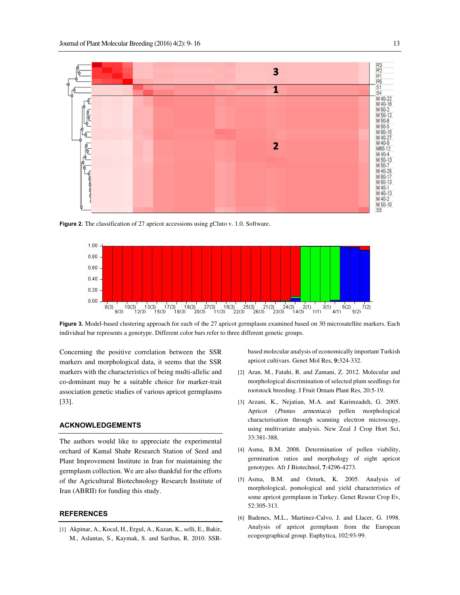

**Figure 2.** The classification of 27 apricot accessions using gCluto v. 1.0. Software.



**Figure 3.** Model-based clustering approach for each of the 27 apricot germplasm examined based on 30 microsatellite markers. Each individual bar represents a genotype. Different color bars refer to three different genetic groups.

Concerning the positive correlation between the SSR markers and morphological data, it seems that the SSR markers with the characteristics of being multi-allelic and co-dominant may be a suitable choice for marker-trait association genetic studies of various apricot germplasms [33].

# **ACKNOWLEDGEMENTS**

The authors would like to appreciate the experimental orchard of Kamal Shahr Research Station of Seed and Plant Improvement Institute in Iran for maintaining the germplasm collection. We are also thankful for the efforts of the Agricultural Biotechnology Research Institute of Iran (ABRII) for funding this study.

### **REFERENCES**

[1] Akpinar, A., Kocal, H., Ergul, A., Kazan, K., selli, E., Bakir, M., Aslantas, S., Kaymak, S. and Saribas, R. 2010. SSR-

based molecular analysis of economically important Turkish apricot cultivars. Genet Mol Res, 9:324-332.

- [2] Aran, M., Fatahi, R. and Zamani, Z. 2012. Molecular and morphological discrimination of selected plum seedlings for rootstock breeding. J Fruit Ornam Plant Res, 20:5-19.
- [3] Arzani, K., Nejatian, M.A. and Karimzadeh, G. 2005. Apricot (Prunus armeniaca) pollen morphological characterisation through scanning electron microscopy, using multivariate analysis. New Zeal J Crop Hort Sci, 33:381-388.
- [4] Asma, B.M. 2008. Determination of pollen viability, germination ratios and morphology of eight apricot genotypes. Afr J Biotechnol, 7:4296-4273.
- [5] Asma, B.M. and Ozturk, K. 2005. Analysis of morphological, pomological and yield characteristics of some apricot germplasm in Turkey. Genet Resour Crop Ev, 52:305-313.
- [6] Badenes, M.L., Martinez-Calvo, J. and Llacer, G. 1998. Analysis of apricot germplasm from the European ecogeographical group. Euphytica, 102:93-99.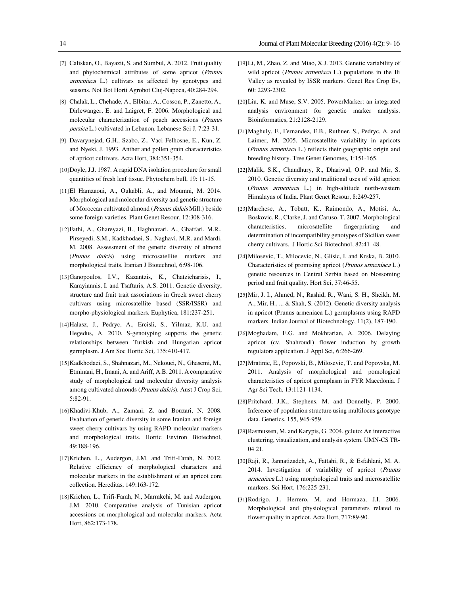- [7] Caliskan, O., Bayazit, S. and Sumbul, A. 2012. Fruit quality and phytochemical attributes of some apricot (Prunus armeniaca L.) cultivars as affected by genotypes and seasons. Not Bot Horti Agrobot Cluj-Napoca, 40:284-294.
- [8] Chalak, L., Chehade, A., Elbitar, A., Cosson, P., Zanetto, A., Dirlewanger, E. and Laigret, F. 2006. Morphological and molecular characterization of peach accessions (Prunus persica L.) cultivated in Lebanon. Lebanese Sci J, 7:23-31.
- [9] Davarynejad, G.H., Szabo, Z., Vaci Felhosne, E., Kun, Z. and Nyeki, J. 1993. Anther and pollen grain characteristics of apricot cultivars. Acta Hort, 384:351-354.
- [10]Doyle, J.J. 1987. A rapid DNA isolation procedure for small quantities of fresh leaf tissue. Phytochem bull, 19: 11-15.
- [11]El Hamzaoui, A., Oukabli, A., and Moumni, M. 2014. Morphological and molecular diversity and genetic structure of Moroccan cultivated almond (Prunus dulcis Mill.) beside some foreign varieties. Plant Genet Resour, 12:308-316.
- [12]Fathi, A., Ghareyazi, B., Haghnazari, A., Ghaffari, M.R., Pirseyedi, S.M., Kadkhodaei, S., Naghavi, M.R. and Mardi, M. 2008. Assessment of the genetic diversity of almond (Prunus dulcis) using microsatellite markers and morphological traits. Iranian J Biotechnol, 6:98-106.
- [13]Ganopoulos, I.V., Kazantzis, K., Chatzicharisis, I., Karayiannis, I. and Tsaftaris, A.S. 2011. Genetic diversity, structure and fruit trait associations in Greek sweet cherry cultivars using microsatellite based (SSR/ISSR) and morpho-physiological markers. Euphytica, 181:237-251.
- [14]Halasz, J., Pedryc, A., Ercisli, S., Yilmaz, K.U. and Hegedus, A. 2010. S-genotyping supports the genetic relationships between Turkish and Hungarian apricot germplasm. J Am Soc Hortic Sci, 135:410-417.
- [15]Kadkhodaei, S., Shahnazari, M., Nekouei, N., Ghasemi, M., Etminani, H., Imani, A. and Ariff, A.B. 2011. A comparative study of morphological and molecular diversity analysis among cultivated almonds (Prunus dulcis). Aust J Crop Sci, 5:82-91.
- [16]Khadivi-Khub, A., Zamani, Z. and Bouzari, N. 2008. Evaluation of genetic diversity in some Iranian and foreign sweet cherry cultivars by using RAPD molecular markers and morphological traits. Hortic Environ Biotechnol, 49:188-196.
- [17]Krichen, L., Audergon, J.M. and Trifi-Farah, N. 2012. Relative efficiency of morphological characters and molecular markers in the establishment of an apricot core collection. Hereditas, 149:163-172.
- [18]Krichen, L., Trifi-Farah, N., Marrakchi, M. and Audergon, J.M. 2010. Comparative analysis of Tunisian apricot accessions on morphological and molecular markers. Acta Hort, 862:173-178.
- [19]Li, M., Zhao, Z. and Miao, X.J. 2013. Genetic variability of wild apricot (Prunus armeniaca L.) populations in the Ili Valley as revealed by ISSR markers. Genet Res Crop Ev, 60: 2293-2302.
- [20]Liu, K. and Muse, S.V. 2005. PowerMarker: an integrated analysis environment for genetic marker analysis. Bioinformatics, 21:2128-2129.
- [21]Maghuly, F., Fernandez, E.B., Ruthner, S., Pedryc, A. and Laimer, M. 2005. Microsatellite variability in apricots (Prunus armeniaca L.) reflects their geographic origin and breeding history. Tree Genet Genomes, 1:151-165.
- [22]Malik, S.K., Chaudhury, R., Dhariwal, O.P. and Mir, S. 2010. Genetic diversity and traditional uses of wild apricot (Prunus armeniaca L.) in high-altitude north-western Himalayas of India. Plant Genet Resour, 8:249-257.
- [23]Marchese, A., Tobutt, K., Raimondo, A., Motisi, A., Boskovic, R., Clarke, J. and Caruso, T. 2007. Morphological characteristics, microsatellite fingerprinting and determination of incompatibility genotypes of Sicilian sweet cherry cultivars. J Hortic Sci Biotechnol, 82:41–48.
- [24]Milosevic, T., Milocevic, N., Glisic, I. and Krska, B. 2010. Characteristics of promising apricot (Prunus armeniaca L.) genetic resources in Central Serbia based on blossoming period and fruit quality. Hort Sci, 37:46-55.
- [25]Mir, J. I., Ahmed, N., Rashid, R., Wani, S. H., Sheikh, M. A., Mir, H., ... & Shah, S. (2012). Genetic diversity analysis in apricot (Prunus armeniaca L.) germplasms using RAPD markers. Indian Journal of Biotechnology, 11(2), 187-190.
- [26]Moghadam, E.G. and Mokhtarian, A. 2006. Delaying apricot (cv. Shahroudi) flower induction by growth regulators application. J Appl Sci, 6:266-269.
- [27]Mratinic, E., Popovski, B., Milosevic, T. and Popovska, M. 2011. Analysis of morphological and pomological characteristics of apricot germplasm in FYR Macedonia. J Agr Sci Tech, 13:1121-1134.
- [28]Pritchard, J.K., Stephens, M. and Donnelly, P. 2000. Inference of population structure using multilocus genotype data. Genetics, 155, 945-959.
- [29]Rasmussen, M. and Karypis, G. 2004. gcluto: An interactive clustering, visualization, and analysis system. UMN-CS TR-04 21.
- [30]Raji, R., Jannatizadeh, A., Fattahi, R., & Esfahlani, M. A. 2014. Investigation of variability of apricot (Prunus armeniaca L.) using morphological traits and microsatellite markers. Sci Hort, 176:225-231.
- [31]Rodrigo, J., Herrero, M. and Hormaza, J.I. 2006. Morphological and physiological parameters related to flower quality in apricot. Acta Hort, 717:89-90.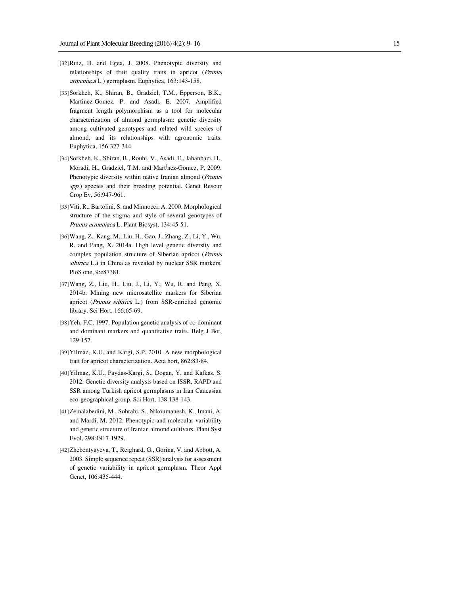- [32]Ruiz, D. and Egea, J. 2008. Phenotypic diversity and relationships of fruit quality traits in apricot (Prunus armeniaca L.) germplasm. Euphytica, 163:143-158.
- [33]Sorkheh, K., Shiran, B., Gradziel, T.M., Epperson, B.K., Martinez-Gomez, P. and Asadi, E. 2007. Amplified fragment length polymorphism as a tool for molecular characterization of almond germplasm: genetic diversity among cultivated genotypes and related wild species of almond, and its relationships with agronomic traits. Euphytica, 156:327-344.
- [34]Sorkheh, K., Shiran, B., Rouhi, V., Asadi, E., Jahanbazi, H., Moradi, H., Gradziel, T.M. and Martأnez-Gomez, P. 2009. Phenotypic diversity within native Iranian almond (Prunus spp.) species and their breeding potential. Genet Resour Crop Ev, 56:947-961.
- [35]Viti, R., Bartolini, S. and Minnocci, A. 2000. Morphological structure of the stigma and style of several genotypes of Prunus armeniaca L. Plant Biosyst, 134:45-51.
- [36]Wang, Z., Kang, M., Liu, H., Gao, J., Zhang, Z., Li, Y., Wu, R. and Pang, X. 2014a. High level genetic diversity and complex population structure of Siberian apricot (Prunus sibirica L.) in China as revealed by nuclear SSR markers. PloS one, 9:e87381.
- [37]Wang, Z., Liu, H., Liu, J., Li, Y., Wu, R. and Pang, X. 2014b. Mining new microsatellite markers for Siberian apricot (Prunus sibirica L.) from SSR-enriched genomic library. Sci Hort, 166:65-69.
- [38]Yeh, F.C. 1997. Population genetic analysis of co-dominant and dominant markers and quantitative traits. Belg J Bot, 129:157.
- [39]Yilmaz, K.U. and Kargi, S.P. 2010. A new morphological trait for apricot characterization. Acta hort, 862:83-84.
- [40]Yilmaz, K.U., Paydas-Kargi, S., Dogan, Y. and Kafkas, S. 2012. Genetic diversity analysis based on ISSR, RAPD and SSR among Turkish apricot germplasms in Iran Caucasian eco-geographical group. Sci Hort, 138:138-143.
- [41]Zeinalabedini, M., Sohrabi, S., Nikoumanesh, K., Imani, A. and Mardi, M. 2012. Phenotypic and molecular variability and genetic structure of Iranian almond cultivars. Plant Syst Evol, 298:1917-1929.
- [42]Zhebentyayeva, T., Reighard, G., Gorina, V. and Abbott, A. 2003. Simple sequence repeat (SSR) analysis for assessment of genetic variability in apricot germplasm. Theor Appl Genet, 106:435-444.